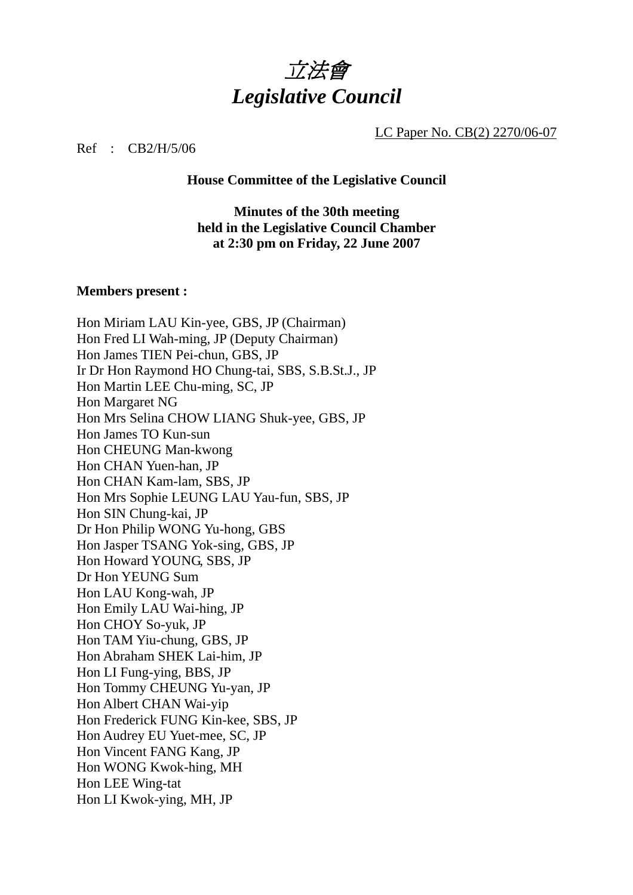

LC Paper No. CB(2) 2270/06-07

Ref : CB2/H/5/06

**House Committee of the Legislative Council** 

**Minutes of the 30th meeting held in the Legislative Council Chamber at 2:30 pm on Friday, 22 June 2007** 

### **Members present :**

Hon Miriam LAU Kin-yee, GBS, JP (Chairman) Hon Fred LI Wah-ming, JP (Deputy Chairman) Hon James TIEN Pei-chun, GBS, JP Ir Dr Hon Raymond HO Chung-tai, SBS, S.B.St.J., JP Hon Martin LEE Chu-ming, SC, JP Hon Margaret NG Hon Mrs Selina CHOW LIANG Shuk-yee, GBS, JP Hon James TO Kun-sun Hon CHEUNG Man-kwong Hon CHAN Yuen-han, JP Hon CHAN Kam-lam, SBS, JP Hon Mrs Sophie LEUNG LAU Yau-fun, SBS, JP Hon SIN Chung-kai, JP Dr Hon Philip WONG Yu-hong, GBS Hon Jasper TSANG Yok-sing, GBS, JP Hon Howard YOUNG, SBS, JP Dr Hon YEUNG Sum Hon LAU Kong-wah, JP Hon Emily LAU Wai-hing, JP Hon CHOY So-yuk, JP Hon TAM Yiu-chung, GBS, JP Hon Abraham SHEK Lai-him, JP Hon LI Fung-ying, BBS, JP Hon Tommy CHEUNG Yu-yan, JP Hon Albert CHAN Wai-yip Hon Frederick FUNG Kin-kee, SBS, JP Hon Audrey EU Yuet-mee, SC, JP Hon Vincent FANG Kang, JP Hon WONG Kwok-hing, MH Hon LEE Wing-tat Hon LI Kwok-ying, MH, JP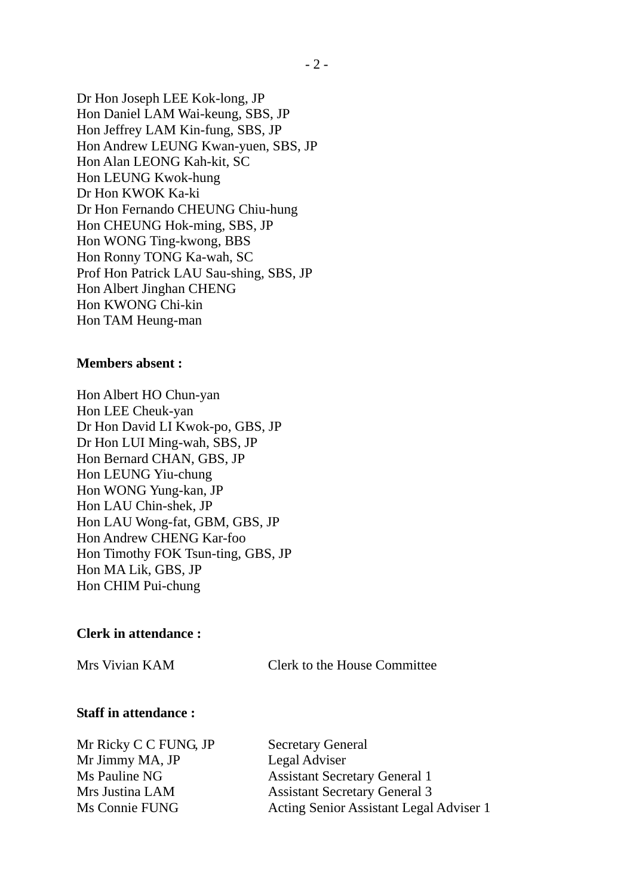Dr Hon Joseph LEE Kok-long, JP Hon Daniel LAM Wai-keung, SBS, JP Hon Jeffrey LAM Kin-fung, SBS, JP Hon Andrew LEUNG Kwan-yuen, SBS, JP Hon Alan LEONG Kah-kit, SC Hon LEUNG Kwok-hung Dr Hon KWOK Ka-ki Dr Hon Fernando CHEUNG Chiu-hung Hon CHEUNG Hok-ming, SBS, JP Hon WONG Ting-kwong, BBS Hon Ronny TONG Ka-wah, SC Prof Hon Patrick LAU Sau-shing, SBS, JP Hon Albert Jinghan CHENG Hon KWONG Chi-kin Hon TAM Heung-man

### **Members absent :**

Hon Albert HO Chun-yan Hon LEE Cheuk-yan Dr Hon David LI Kwok-po, GBS, JP Dr Hon LUI Ming-wah, SBS, JP Hon Bernard CHAN, GBS, JP Hon LEUNG Yiu-chung Hon WONG Yung-kan, JP Hon LAU Chin-shek, JP Hon LAU Wong-fat, GBM, GBS, JP Hon Andrew CHENG Kar-foo Hon Timothy FOK Tsun-ting, GBS, JP Hon MA Lik, GBS, JP Hon CHIM Pui-chung

### **Clerk in attendance :**

Mrs Vivian KAM Clerk to the House Committee

### **Staff in attendance :**

Mr Ricky C C FUNG, JP Secretary General Mr Jimmy MA, JP Legal Adviser

Ms Pauline NG Assistant Secretary General 1 Mrs Justina LAM Assistant Secretary General 3 Ms Connie FUNG Acting Senior Assistant Legal Adviser 1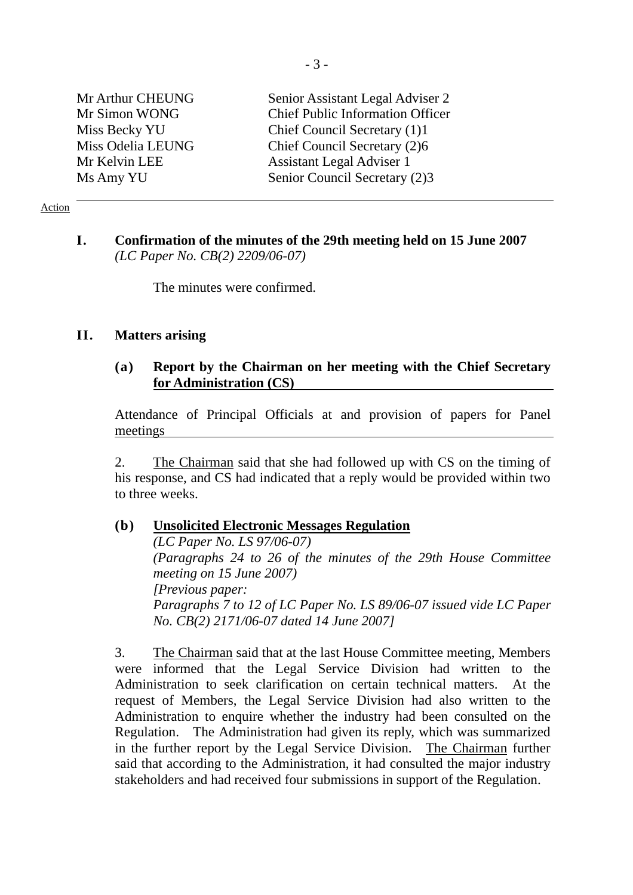| Mr Arthur CHEUNG  | Senior Assistant Legal Adviser 2        |
|-------------------|-----------------------------------------|
| Mr Simon WONG     | <b>Chief Public Information Officer</b> |
| Miss Becky YU     | Chief Council Secretary (1)1            |
| Miss Odelia LEUNG | Chief Council Secretary (2)6            |
| Mr Kelvin LEE     | <b>Assistant Legal Adviser 1</b>        |
| Ms Amy YU         | Senior Council Secretary (2)3           |

### Action

## **I. Confirmation of the minutes of the 29th meeting held on 15 June 2007**  *(LC Paper No. CB(2) 2209/06-07)*

The minutes were confirmed.

### **II. Matters arising**

### **(a) Report by the Chairman on her meeting with the Chief Secretary for Administration (CS)**

Attendance of Principal Officials at and provision of papers for Panel meetings

2. The Chairman said that she had followed up with CS on the timing of his response, and CS had indicated that a reply would be provided within two to three weeks.

### **(b) Unsolicited Electronic Messages Regulation**

*(LC Paper No. LS 97/06-07) (Paragraphs 24 to 26 of the minutes of the 29th House Committee meeting on 15 June 2007) [Previous paper: Paragraphs 7 to 12 of LC Paper No. LS 89/06-07 issued vide LC Paper No. CB(2) 2171/06-07 dated 14 June 2007]* 

3. The Chairman said that at the last House Committee meeting, Members were informed that the Legal Service Division had written to the Administration to seek clarification on certain technical matters. At the request of Members, the Legal Service Division had also written to the Administration to enquire whether the industry had been consulted on the Regulation. The Administration had given its reply, which was summarized in the further report by the Legal Service Division. The Chairman further said that according to the Administration, it had consulted the major industry stakeholders and had received four submissions in support of the Regulation.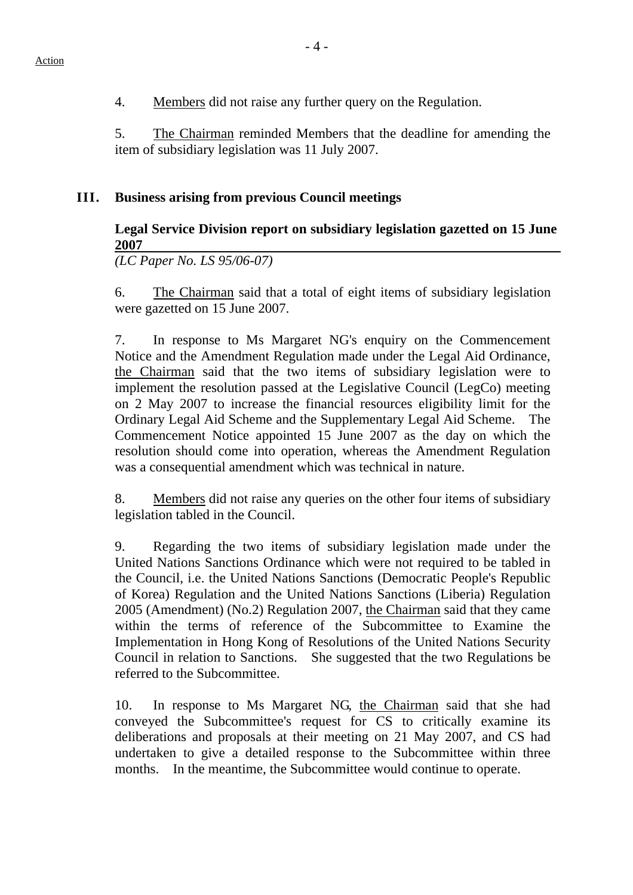4. Members did not raise any further query on the Regulation.

5. The Chairman reminded Members that the deadline for amending the item of subsidiary legislation was 11 July 2007.

# **III. Business arising from previous Council meetings**

# **Legal Service Division report on subsidiary legislation gazetted on 15 June 2007**

*(LC Paper No. LS 95/06-07)* 

6. The Chairman said that a total of eight items of subsidiary legislation were gazetted on 15 June 2007.

7. In response to Ms Margaret NG's enquiry on the Commencement Notice and the Amendment Regulation made under the Legal Aid Ordinance, the Chairman said that the two items of subsidiary legislation were to implement the resolution passed at the Legislative Council (LegCo) meeting on 2 May 2007 to increase the financial resources eligibility limit for the Ordinary Legal Aid Scheme and the Supplementary Legal Aid Scheme. The Commencement Notice appointed 15 June 2007 as the day on which the resolution should come into operation, whereas the Amendment Regulation was a consequential amendment which was technical in nature.

8. Members did not raise any queries on the other four items of subsidiary legislation tabled in the Council.

9. Regarding the two items of subsidiary legislation made under the United Nations Sanctions Ordinance which were not required to be tabled in the Council, i.e. the United Nations Sanctions (Democratic People's Republic of Korea) Regulation and the United Nations Sanctions (Liberia) Regulation 2005 (Amendment) (No.2) Regulation 2007, the Chairman said that they came within the terms of reference of the Subcommittee to Examine the Implementation in Hong Kong of Resolutions of the United Nations Security Council in relation to Sanctions. She suggested that the two Regulations be referred to the Subcommittee.

10. In response to Ms Margaret NG, the Chairman said that she had conveyed the Subcommittee's request for CS to critically examine its deliberations and proposals at their meeting on 21 May 2007, and CS had undertaken to give a detailed response to the Subcommittee within three months. In the meantime, the Subcommittee would continue to operate.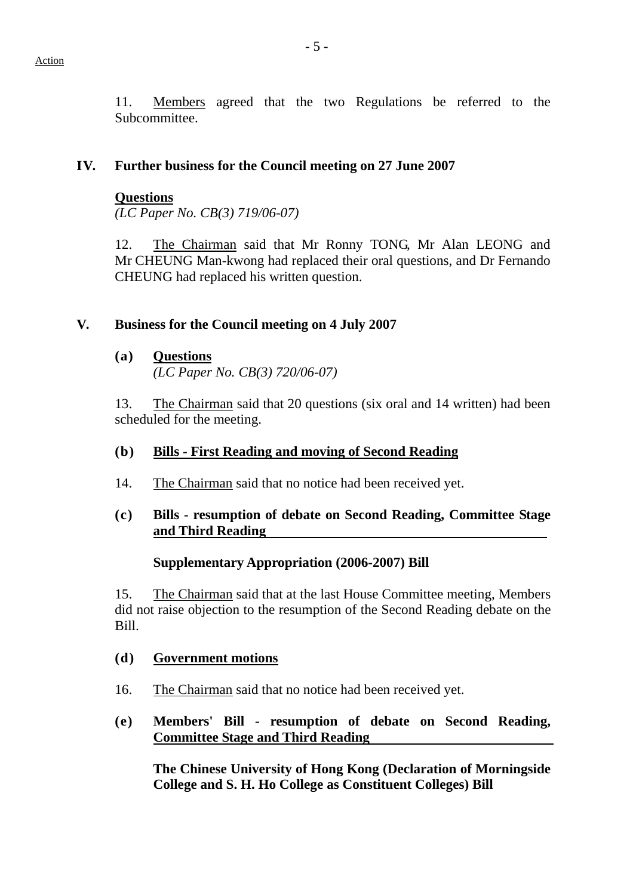11. Members agreed that the two Regulations be referred to the Subcommittee.

## **IV. Further business for the Council meeting on 27 June 2007**

### **Questions**

*(LC Paper No. CB(3) 719/06-07)* 

12. The Chairman said that Mr Ronny TONG, Mr Alan LEONG and Mr CHEUNG Man-kwong had replaced their oral questions, and Dr Fernando CHEUNG had replaced his written question.

## **V. Business for the Council meeting on 4 July 2007**

### **(a) Questions**

*(LC Paper No. CB(3) 720/06-07)* 

13. The Chairman said that 20 questions (six oral and 14 written) had been scheduled for the meeting.

### **(b) Bills - First Reading and moving of Second Reading**

14. The Chairman said that no notice had been received yet.

## **(c) Bills - resumption of debate on Second Reading, Committee Stage and Third Reading**

## **Supplementary Appropriation (2006-2007) Bill**

15. The Chairman said that at the last House Committee meeting, Members did not raise objection to the resumption of the Second Reading debate on the Bill.

### **(d) Government motions**

- 16. The Chairman said that no notice had been received yet.
- **(e) Members' Bill resumption of debate on Second Reading, Committee Stage and Third Reading**

**The Chinese University of Hong Kong (Declaration of Morningside College and S. H. Ho College as Constituent Colleges) Bill**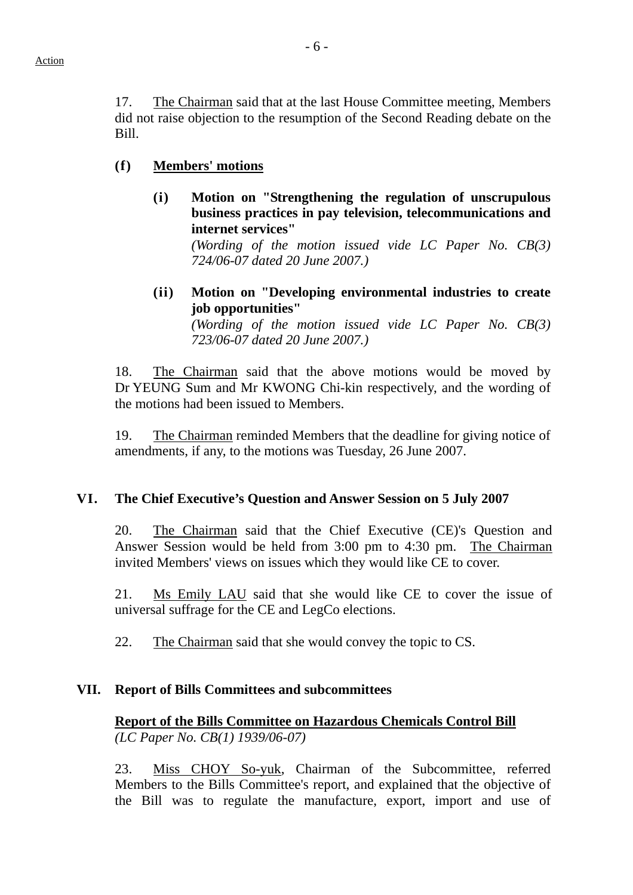17. The Chairman said that at the last House Committee meeting, Members did not raise objection to the resumption of the Second Reading debate on the Bill.

### **(f) Members' motions**

**(i) Motion on "Strengthening the regulation of unscrupulous business practices in pay television, telecommunications and internet services"**

> *(Wording of the motion issued vide LC Paper No. CB(3) 724/06-07 dated 20 June 2007.)*

**(ii) Motion on "Developing environmental industries to create job opportunities"**

*(Wording of the motion issued vide LC Paper No. CB(3) 723/06-07 dated 20 June 2007.)* 

18. The Chairman said that the above motions would be moved by Dr YEUNG Sum and Mr KWONG Chi-kin respectively, and the wording of the motions had been issued to Members.

 19. The Chairman reminded Members that the deadline for giving notice of amendments, if any, to the motions was Tuesday, 26 June 2007.

### **VI. The Chief Executive's Question and Answer Session on 5 July 2007**

20. The Chairman said that the Chief Executive (CE)'s Question and Answer Session would be held from 3:00 pm to 4:30 pm. The Chairman invited Members' views on issues which they would like CE to cover.

21. Ms Emily LAU said that she would like CE to cover the issue of universal suffrage for the CE and LegCo elections.

22. The Chairman said that she would convey the topic to CS.

### **VII. Report of Bills Committees and subcommittees**

## **Report of the Bills Committee on Hazardous Chemicals Control Bill** *(LC Paper No. CB(1) 1939/06-07)*

23. Miss CHOY So-yuk, Chairman of the Subcommittee, referred Members to the Bills Committee's report, and explained that the objective of the Bill was to regulate the manufacture, export, import and use of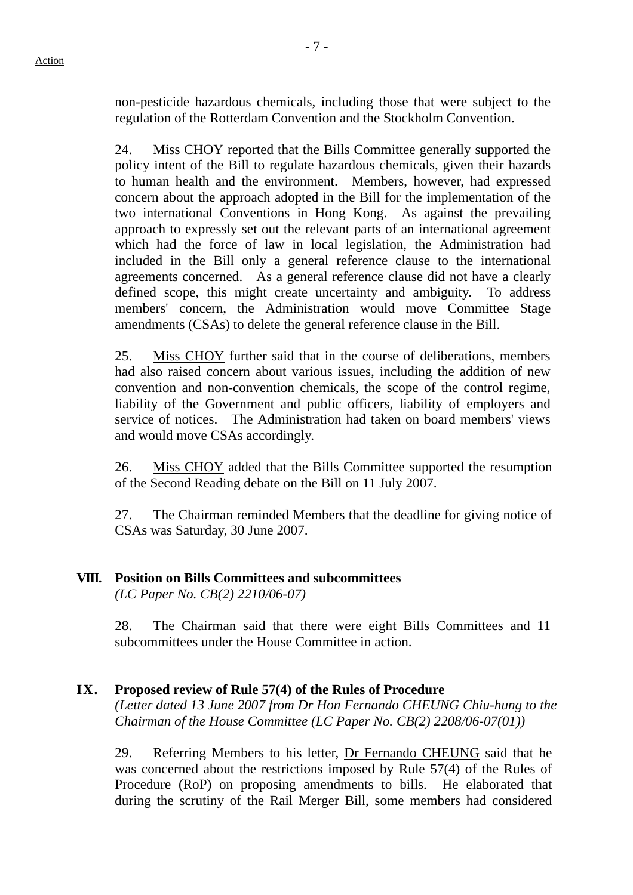non-pesticide hazardous chemicals, including those that were subject to the regulation of the Rotterdam Convention and the Stockholm Convention.

24. Miss CHOY reported that the Bills Committee generally supported the policy intent of the Bill to regulate hazardous chemicals, given their hazards to human health and the environment. Members, however, had expressed concern about the approach adopted in the Bill for the implementation of the two international Conventions in Hong Kong. As against the prevailing approach to expressly set out the relevant parts of an international agreement which had the force of law in local legislation, the Administration had included in the Bill only a general reference clause to the international agreements concerned. As a general reference clause did not have a clearly defined scope, this might create uncertainty and ambiguity. To address members' concern, the Administration would move Committee Stage amendments (CSAs) to delete the general reference clause in the Bill.

25. Miss CHOY further said that in the course of deliberations, members had also raised concern about various issues, including the addition of new convention and non-convention chemicals, the scope of the control regime, liability of the Government and public officers, liability of employers and service of notices. The Administration had taken on board members' views and would move CSAs accordingly.

26. Miss CHOY added that the Bills Committee supported the resumption of the Second Reading debate on the Bill on 11 July 2007.

27. The Chairman reminded Members that the deadline for giving notice of CSAs was Saturday, 30 June 2007.

## **VIII. Position on Bills Committees and subcommittees**

*(LC Paper No. CB(2) 2210/06-07)* 

28. The Chairman said that there were eight Bills Committees and 11 subcommittees under the House Committee in action.

### **IX. Proposed review of Rule 57(4) of the Rules of Procedure**

*(Letter dated 13 June 2007 from Dr Hon Fernando CHEUNG Chiu-hung to the Chairman of the House Committee (LC Paper No. CB(2) 2208/06-07(01))*

29. Referring Members to his letter, Dr Fernando CHEUNG said that he was concerned about the restrictions imposed by Rule 57(4) of the Rules of Procedure (RoP) on proposing amendments to bills. He elaborated that during the scrutiny of the Rail Merger Bill, some members had considered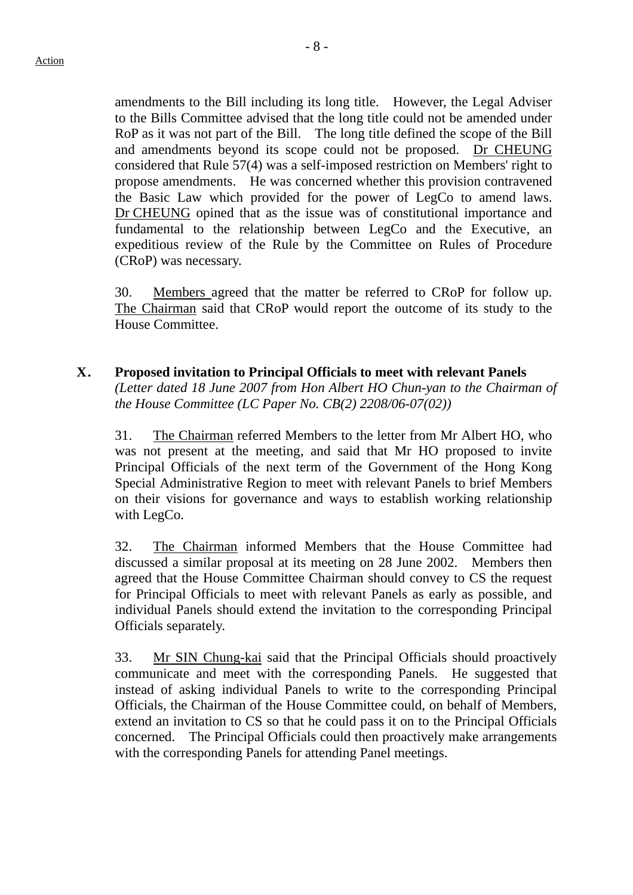amendments to the Bill including its long title. However, the Legal Adviser to the Bills Committee advised that the long title could not be amended under RoP as it was not part of the Bill. The long title defined the scope of the Bill and amendments beyond its scope could not be proposed. Dr CHEUNG considered that Rule 57(4) was a self-imposed restriction on Members' right to propose amendments. He was concerned whether this provision contravened the Basic Law which provided for the power of LegCo to amend laws. Dr CHEUNG opined that as the issue was of constitutional importance and fundamental to the relationship between LegCo and the Executive, an expeditious review of the Rule by the Committee on Rules of Procedure (CRoP) was necessary.

30. Members agreed that the matter be referred to CRoP for follow up. The Chairman said that CRoP would report the outcome of its study to the House Committee.

**X. Proposed invitation to Principal Officials to meet with relevant Panels**  *(Letter dated 18 June 2007 from Hon Albert HO Chun-yan to the Chairman of the House Committee (LC Paper No. CB(2) 2208/06-07(02))*

31. The Chairman referred Members to the letter from Mr Albert HO, who was not present at the meeting, and said that Mr HO proposed to invite Principal Officials of the next term of the Government of the Hong Kong Special Administrative Region to meet with relevant Panels to brief Members on their visions for governance and ways to establish working relationship with LegCo.

32. The Chairman informed Members that the House Committee had discussed a similar proposal at its meeting on 28 June 2002. Members then agreed that the House Committee Chairman should convey to CS the request for Principal Officials to meet with relevant Panels as early as possible, and individual Panels should extend the invitation to the corresponding Principal Officials separately.

33. Mr SIN Chung-kai said that the Principal Officials should proactively communicate and meet with the corresponding Panels. He suggested that instead of asking individual Panels to write to the corresponding Principal Officials, the Chairman of the House Committee could, on behalf of Members, extend an invitation to CS so that he could pass it on to the Principal Officials concerned. The Principal Officials could then proactively make arrangements with the corresponding Panels for attending Panel meetings.